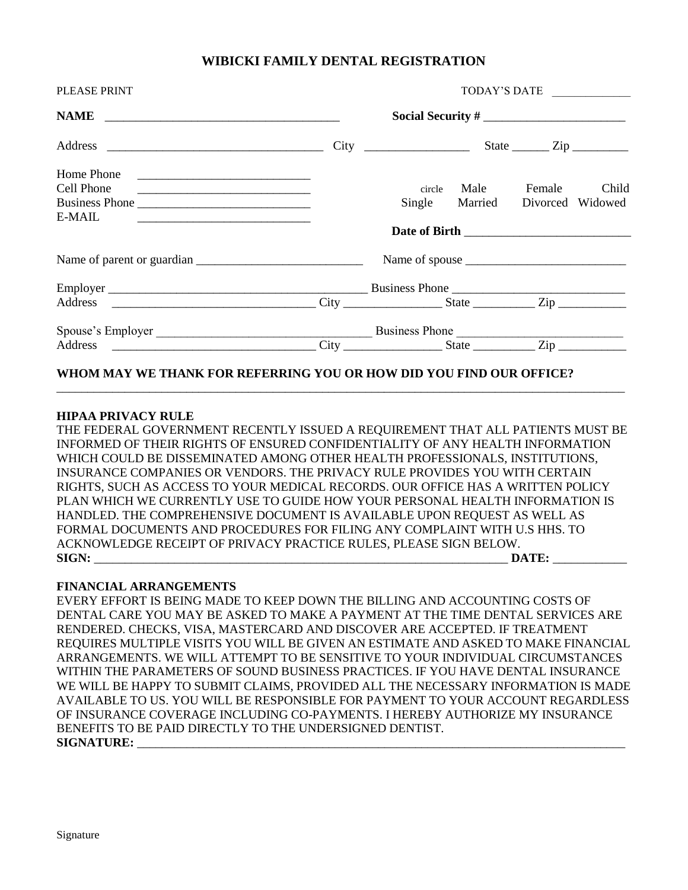## **WIBICKI FAMILY DENTAL REGISTRATION**

| PLEASE PRINT                                                                                                                       | TODAY'S DATE      |                                                                                                                                                                   |                          |        |       |  |
|------------------------------------------------------------------------------------------------------------------------------------|-------------------|-------------------------------------------------------------------------------------------------------------------------------------------------------------------|--------------------------|--------|-------|--|
|                                                                                                                                    | Social Security # |                                                                                                                                                                   |                          |        |       |  |
|                                                                                                                                    |                   |                                                                                                                                                                   |                          |        |       |  |
| Home Phone                                                                                                                         |                   |                                                                                                                                                                   |                          |        |       |  |
| Cell Phone<br><u> 2000 - Jan James James Jan James James James James James James James James James James James James James Jam</u> |                   | circle                                                                                                                                                            | Male                     | Female | Child |  |
| Business Phone                                                                                                                     |                   | Single                                                                                                                                                            | Married Divorced Widowed |        |       |  |
| E-MAIL<br>the control of the control of the control of the control of the control of the control of                                |                   |                                                                                                                                                                   |                          |        |       |  |
|                                                                                                                                    |                   |                                                                                                                                                                   |                          |        |       |  |
|                                                                                                                                    |                   |                                                                                                                                                                   |                          |        |       |  |
|                                                                                                                                    |                   |                                                                                                                                                                   |                          |        |       |  |
|                                                                                                                                    |                   |                                                                                                                                                                   |                          |        |       |  |
|                                                                                                                                    |                   |                                                                                                                                                                   |                          |        |       |  |
|                                                                                                                                    |                   | $City$ $\frac{City}{\frac{1}{2} + C}$ $\frac{City}{\frac{1}{2} + C}$ $\frac{City}{\frac{1}{2} + C}$ $\frac{City}{\frac{1}{2} + C}$ $\frac{City}{\frac{1}{2} + C}$ |                          |        |       |  |

## **WHOM MAY WE THANK FOR REFERRING YOU OR HOW DID YOU FIND OUR OFFICE?**

### **HIPAA PRIVACY RULE**

THE FEDERAL GOVERNMENT RECENTLY ISSUED A REQUIREMENT THAT ALL PATIENTS MUST BE INFORMED OF THEIR RIGHTS OF ENSURED CONFIDENTIALITY OF ANY HEALTH INFORMATION WHICH COULD BE DISSEMINATED AMONG OTHER HEALTH PROFESSIONALS, INSTITUTIONS, INSURANCE COMPANIES OR VENDORS. THE PRIVACY RULE PROVIDES YOU WITH CERTAIN RIGHTS, SUCH AS ACCESS TO YOUR MEDICAL RECORDS. OUR OFFICE HAS A WRITTEN POLICY PLAN WHICH WE CURRENTLY USE TO GUIDE HOW YOUR PERSONAL HEALTH INFORMATION IS HANDLED. THE COMPREHENSIVE DOCUMENT IS AVAILABLE UPON REQUEST AS WELL AS FORMAL DOCUMENTS AND PROCEDURES FOR FILING ANY COMPLAINT WITH U.S HHS. TO ACKNOWLEDGE RECEIPT OF PRIVACY PRACTICE RULES, PLEASE SIGN BELOW. **SIGN:** \_\_\_\_\_\_\_\_\_\_\_\_\_\_\_\_\_\_\_\_\_\_\_\_\_\_\_\_\_\_\_\_\_\_\_\_\_\_\_\_\_\_\_\_\_\_\_\_\_\_\_\_\_\_\_\_\_\_\_\_\_\_\_\_\_\_\_ **DATE:** \_\_\_\_\_\_\_\_\_\_\_\_

\_\_\_\_\_\_\_\_\_\_\_\_\_\_\_\_\_\_\_\_\_\_\_\_\_\_\_\_\_\_\_\_\_\_\_\_\_\_\_\_\_\_\_\_\_\_\_\_\_\_\_\_\_\_\_\_\_\_\_\_\_\_\_\_\_\_\_\_\_\_\_\_\_\_\_\_\_\_\_\_\_\_\_\_\_\_\_\_\_\_\_\_

#### **FINANCIAL ARRANGEMENTS**

EVERY EFFORT IS BEING MADE TO KEEP DOWN THE BILLING AND ACCOUNTING COSTS OF DENTAL CARE YOU MAY BE ASKED TO MAKE A PAYMENT AT THE TIME DENTAL SERVICES ARE RENDERED. CHECKS, VISA, MASTERCARD AND DISCOVER ARE ACCEPTED. IF TREATMENT REQUIRES MULTIPLE VISITS YOU WILL BE GIVEN AN ESTIMATE AND ASKED TO MAKE FINANCIAL ARRANGEMENTS. WE WILL ATTEMPT TO BE SENSITIVE TO YOUR INDIVIDUAL CIRCUMSTANCES WITHIN THE PARAMETERS OF SOUND BUSINESS PRACTICES. IF YOU HAVE DENTAL INSURANCE WE WILL BE HAPPY TO SUBMIT CLAIMS, PROVIDED ALL THE NECESSARY INFORMATION IS MADE AVAILABLE TO US. YOU WILL BE RESPONSIBLE FOR PAYMENT TO YOUR ACCOUNT REGARDLESS OF INSURANCE COVERAGE INCLUDING CO-PAYMENTS. I HEREBY AUTHORIZE MY INSURANCE BENEFITS TO BE PAID DIRECTLY TO THE UNDERSIGNED DENTIST.  $SIGNATURE:$